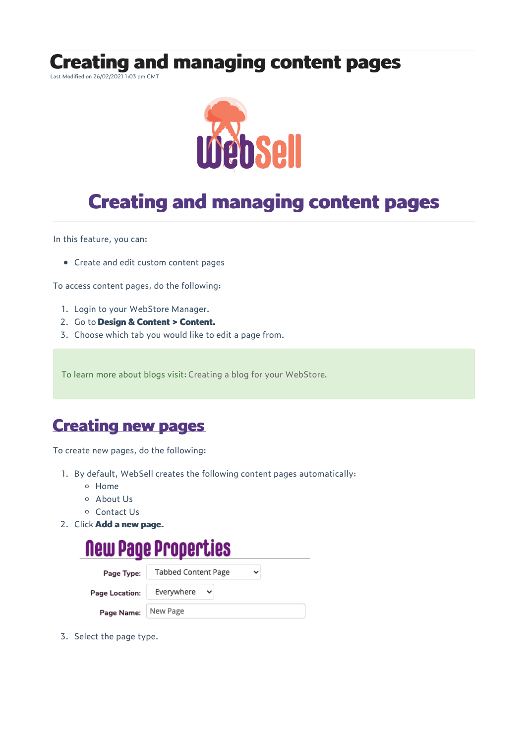**Creating and managing content pages**





# **Creating and managing content pages**

In this feature, you can:

Create and edit custom content pages

To access content pages, do the following:

- 1. Login to your WebStore Manager.
- 2. Go to **Design & Content > Content.**
- 3. Choose which tab you would like to edit a page from.

To learn more about blogs visit: Creating a blog for your WebStore.

### **Creating new pages**

To create new pages, do the following:

- 1. By default, WebSell creates the following content pages automatically:
	- o Home
	- About Us
	- o Contact Us
- 2. Click **Add a new page.**

## **New Page Properties**

| Page Type:     | <b>Tabbed Content Page</b> |  |
|----------------|----------------------------|--|
| Page Location: | Everywhere                 |  |
| Page Name:     | New Page                   |  |

3. Select the page type.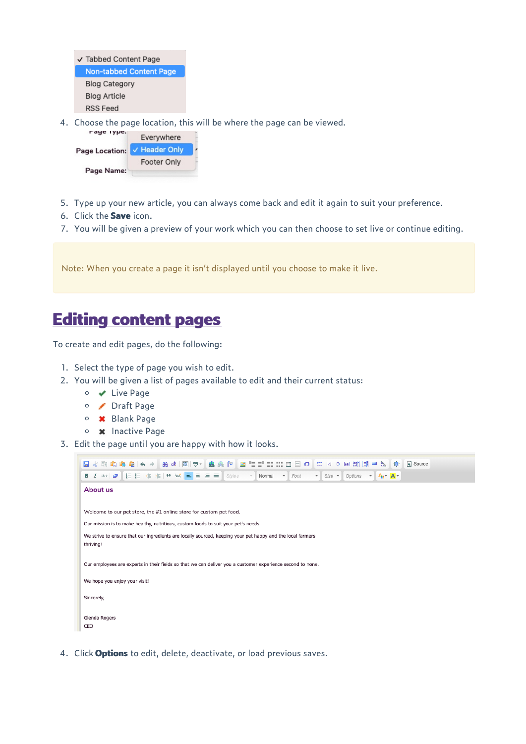| √ Tabbed Content Page          |  |  |
|--------------------------------|--|--|
| <b>Non-tabbed Content Page</b> |  |  |
| <b>Blog Category</b>           |  |  |
| <b>Blog Article</b>            |  |  |
| <b>RSS Feed</b>                |  |  |

4. Choose the page location, this will be where the page can be viewed.

| raye type.     | Everywhere         |  |
|----------------|--------------------|--|
| Page Location: | V Header Only      |  |
| Page Name:     | <b>Footer Only</b> |  |

- 5. Type up your new article, you can always come back and edit it again to suit your preference.
- 6. Click the **Save** icon.
- 7. You will be given a preview of your work which you can then choose to set live or continue editing.

Note: When you create a page it isn't displayed until you choose to make it live.

### **Editing content pages**

To create and edit pages, do the following:

- 1. Select the type of page you wish to edit.
- 2. You will be given a list of pages available to edit and their current status:
	- Live Page
	- Draft Page
	- o **\*** Blank Page
	- $\circ$  **x** Inactive Page
- 3. Edit the page until you are happy with how it looks.



4. Click **Options** to edit, delete, deactivate, or load previous saves.